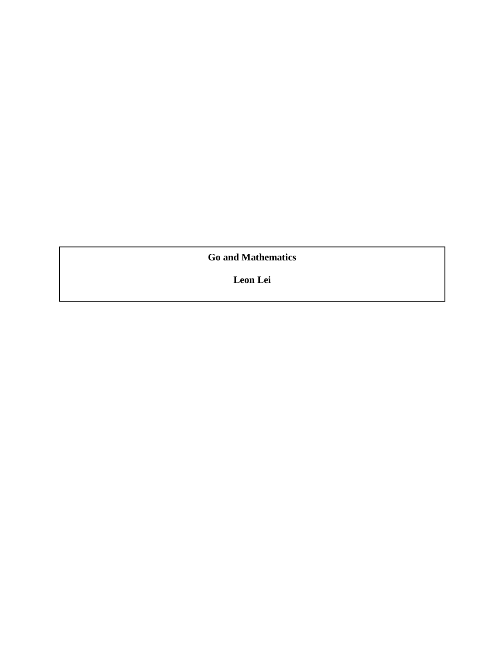**Go and Mathematics**

**Leon Lei**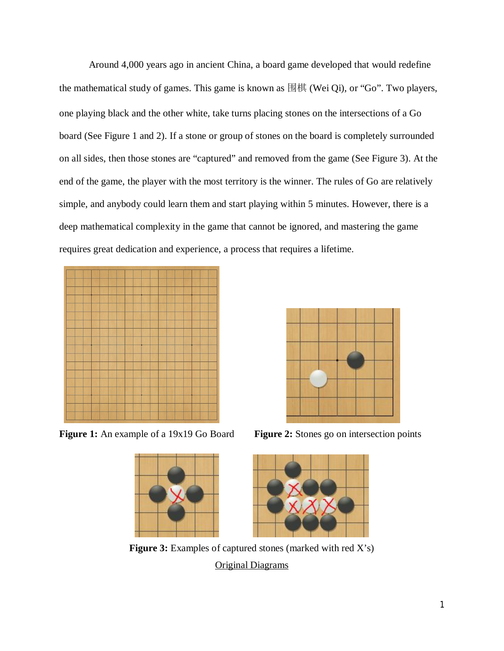Around 4,000 years ago in ancient China, a board game developed that would redefine the mathematical study of games. This game is known as 围棋 (Wei Qi), or "Go". Two players, one playing black and the other white, take turns placing stones on the intersections of a Go board (See Figure 1 and 2). If a stone or group of stones on the board is completely surrounded on all sides, then those stones are "captured" and removed from the game (See Figure 3). At the end of the game, the player with the most territory is the winner. The rules of Go are relatively simple, and anybody could learn them and start playing within 5 minutes. However, there is a deep mathematical complexity in the game that cannot be ignored, and mastering the game requires great dedication and experience, a process that requires a lifetime.



**Figure 1:** An example of a 19x19 Go Board **Figure 2:** Stones go on intersection points





Figure 3: Examples of captured stones (marked with red X's) Original Diagrams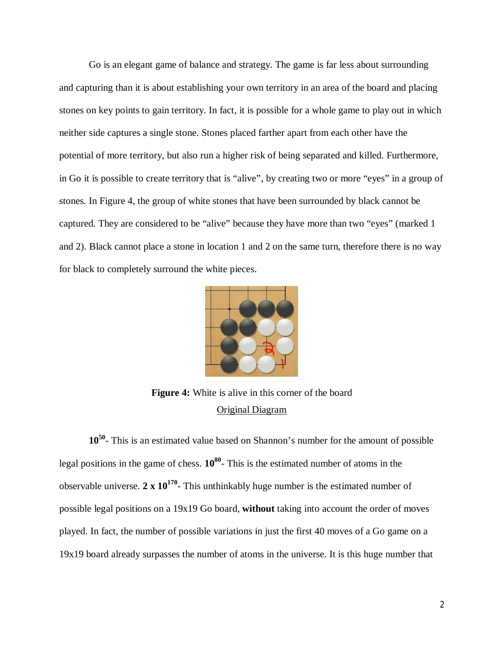Go is an elegant game of balance and strategy. The game is far less about surrounding and capturing than it is about establishing your own territory in an area of the board and placing stones on key points to gain territory. In fact, it is possible for a whole game to play out in which neither side captures a single stone. Stones placed farther apart from each other have the potential of more territory, but also run a higher risk of being separated and killed. Furthermore, in Go it is possible to create territory that is "alive", by creating two or more "eyes" in a group of stones. In Figure 4, the group of white stones that have been surrounded by black cannot be captured. They are considered to be "alive" because they have more than two "eyes" (marked 1 and 2). Black cannot place a stone in location 1 and 2 on the same turn, therefore there is no way for black to completely surround the white pieces.



**Figure 4:** White is alive in this corner of the board Original Diagram

**10<sup>50</sup>** - This is an estimated value based on Shannon's number for the amount of possible legal positions in the game of chess. **10<sup>80</sup>** - This is the estimated number of atoms in the observable universe. **2 x 10<sup>170</sup>** - This unthinkably huge number is the estimated number of possible legal positions on a 19x19 Go board, **without** taking into account the order of moves played. In fact, the number of possible variations in just the first 40 moves of a Go game on a 19x19 board already surpasses the number of atoms in the universe. It is this huge number that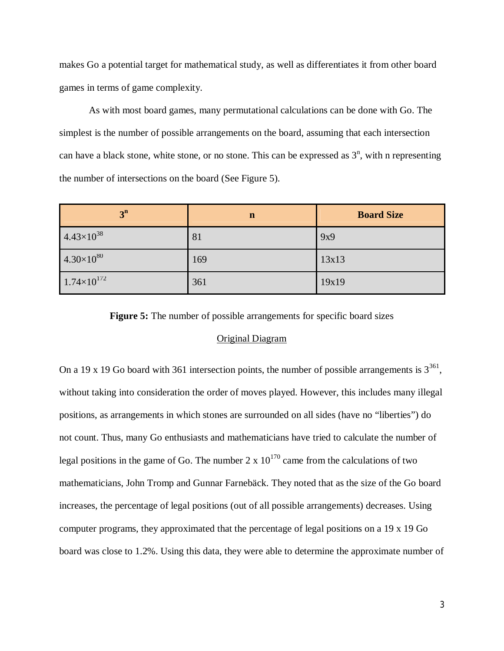makes Go a potential target for mathematical study, as well as differentiates it from other board games in terms of game complexity.

As with most board games, many permutational calculations can be done with Go. The simplest is the number of possible arrangements on the board, assuming that each intersection can have a black stone, white stone, or no stone. This can be expressed as  $3^n$ , with n representing the number of intersections on the board (See Figure 5).

| 3 <sup>n</sup>       | $\mathbf n$ | <b>Board Size</b> |
|----------------------|-------------|-------------------|
| $4.43\times10^{38}$  | 81          | 9x9               |
| $4.30\times10^{80}$  | 169         | 13x13             |
| $1.74\times10^{172}$ | 361         | 19x19             |

**Figure 5:** The number of possible arrangements for specific board sizes

## Original Diagram

On a 19 x 19 Go board with 361 intersection points, the number of possible arrangements is  $3^{361}$ , without taking into consideration the order of moves played. However, this includes many illegal positions, as arrangements in which stones are surrounded on all sides (have no "liberties") do not count. Thus, many Go enthusiasts and mathematicians have tried to calculate the number of legal positions in the game of Go. The number 2 x  $10^{170}$  came from the calculations of two mathematicians, John Tromp and Gunnar Farnebäck. They noted that as the size of the Go board increases, the percentage of legal positions (out of all possible arrangements) decreases. Using computer programs, they approximated that the percentage of legal positions on a 19 x 19 Go board was close to 1.2%. Using this data, they were able to determine the approximate number of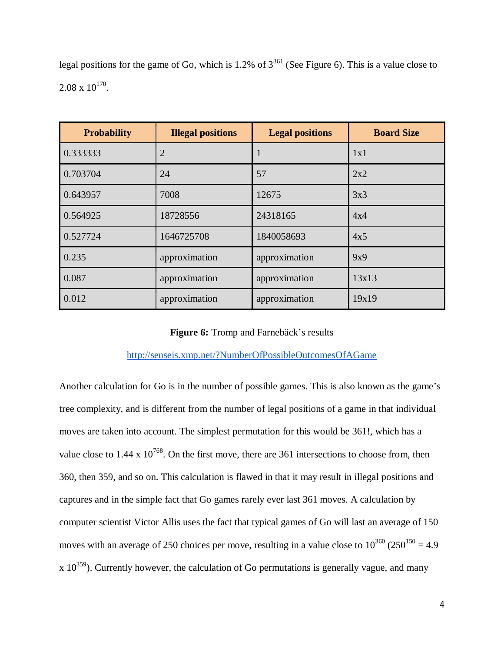| <b>Probability</b> | <b>Illegal positions</b> | <b>Legal positions</b> | <b>Board Size</b> |
|--------------------|--------------------------|------------------------|-------------------|
| 0.333333           | $\overline{2}$           | $\mathbf{I}$           | 1x1               |
| 0.703704           | 24                       | 57                     | 2x2               |
| 0.643957           | 7008                     | 12675                  | 3x3               |
| 0.564925           | 18728556                 | 24318165               | 4x4               |
| 0.527724           | 1646725708               | 1840058693             | 4x5               |
| 0.235              | approximation            | approximation          | 9x9               |
| 0.087              | approximation            | approximation          | 13x13             |
| 0.012              | approximation            | approximation          | 19x19             |

legal positions for the game of Go, which is 1.2% of  $3^{361}$  (See Figure 6). This is a value close to  $2.08 \times 10^{170}$ .

# **Figure 6:** Tromp and Farnebäck's results

# http://senseis.xmp.net/?NumberOfPossibleOutcomesOfAGame

Another calculation for Go is in the number of possible games. This is also known as the game's tree complexity, and is different from the number of legal positions of a game in that individual moves are taken into account. The simplest permutation for this would be 361!, which has a value close to  $1.44 \times 10^{768}$ . On the first move, there are 361 intersections to choose from, then 360, then 359, and so on. This calculation is flawed in that it may result in illegal positions and captures and in the simple fact that Go games rarely ever last 361 moves. A calculation by computer scientist Victor Allis uses the fact that typical games of Go will last an average of 150 moves with an average of 250 choices per move, resulting in a value close to  $10^{360}$  (250<sup>150</sup> = 4.9)  $x 10^{359}$ ). Currently however, the calculation of Go permutations is generally vague, and many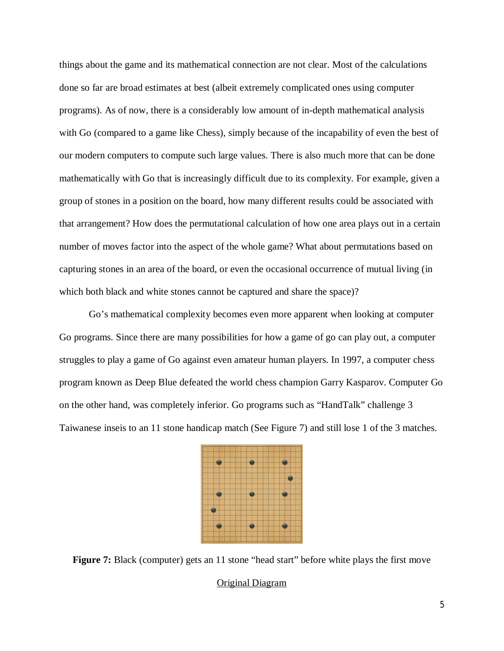things about the game and its mathematical connection are not clear. Most of the calculations done so far are broad estimates at best (albeit extremely complicated ones using computer programs). As of now, there is a considerably low amount of in-depth mathematical analysis with Go (compared to a game like Chess), simply because of the incapability of even the best of our modern computers to compute such large values. There is also much more that can be done mathematically with Go that is increasingly difficult due to its complexity. For example, given a group of stones in a position on the board, how many different results could be associated with that arrangement? How does the permutational calculation of how one area plays out in a certain number of moves factor into the aspect of the whole game? What about permutations based on capturing stones in an area of the board, or even the occasional occurrence of mutual living (in which both black and white stones cannot be captured and share the space)?

Go's mathematical complexity becomes even more apparent when looking at computer Go programs. Since there are many possibilities for how a game of go can play out, a computer struggles to play a game of Go against even amateur human players. In 1997, a computer chess program known as Deep Blue defeated the world chess champion Garry Kasparov. Computer Go on the other hand, was completely inferior. Go programs such as "HandTalk" challenge 3 Taiwanese inseis to an 11 stone handicap match (See Figure 7) and still lose 1 of the 3 matches.



**Figure 7:** Black (computer) gets an 11 stone "head start" before white plays the first move

#### Original Diagram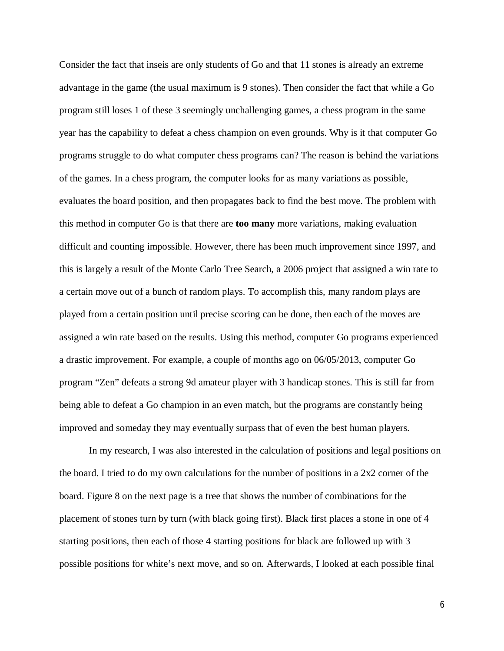Consider the fact that inseis are only students of Go and that 11 stones is already an extreme advantage in the game (the usual maximum is 9 stones). Then consider the fact that while a Go program still loses 1 of these 3 seemingly unchallenging games, a chess program in the same year has the capability to defeat a chess champion on even grounds. Why is it that computer Go programs struggle to do what computer chess programs can? The reason is behind the variations of the games. In a chess program, the computer looks for as many variations as possible, evaluates the board position, and then propagates back to find the best move. The problem with this method in computer Go is that there are **too many** more variations, making evaluation difficult and counting impossible. However, there has been much improvement since 1997, and this is largely a result of the Monte Carlo Tree Search, a 2006 project that assigned a win rate to a certain move out of a bunch of random plays. To accomplish this, many random plays are played from a certain position until precise scoring can be done, then each of the moves are assigned a win rate based on the results. Using this method, computer Go programs experienced a drastic improvement. For example, a couple of months ago on 06/05/2013, computer Go program "Zen" defeats a strong 9d amateur player with 3 handicap stones. This is still far from being able to defeat a Go champion in an even match, but the programs are constantly being improved and someday they may eventually surpass that of even the best human players.

In my research, I was also interested in the calculation of positions and legal positions on the board. I tried to do my own calculations for the number of positions in a  $2x2$  corner of the board. Figure 8 on the next page is a tree that shows the number of combinations for the placement of stones turn by turn (with black going first). Black first places a stone in one of 4 starting positions, then each of those 4 starting positions for black are followed up with 3 possible positions for white's next move, and so on. Afterwards, I looked at each possible final

6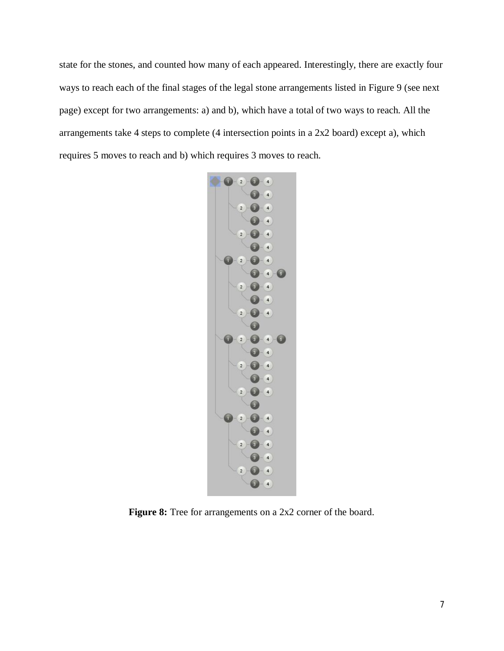state for the stones, and counted how many of each appeared. Interestingly, there are exactly four ways to reach each of the final stages of the legal stone arrangements listed in Figure 9 (see next page) except for two arrangements: a) and b), which have a total of two ways to reach. All the arrangements take 4 steps to complete (4 intersection points in a 2x2 board) except a), which requires 5 moves to reach and b) which requires 3 moves to reach.



Figure 8: Tree for arrangements on a 2x2 corner of the board.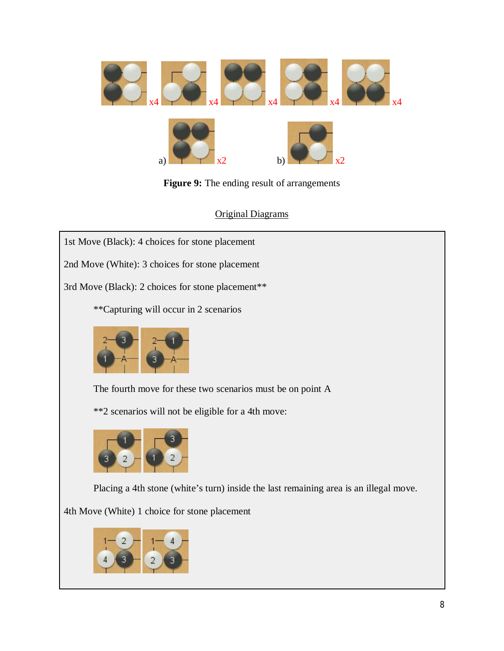

**Figure 9:** The ending result of arrangements

Original Diagrams

1st Move (Black): 4 choices for stone placement

2nd Move (White): 3 choices for stone placement

3rd Move (Black): 2 choices for stone placement\*\*

\*\*Capturing will occur in 2 scenarios



The fourth move for these two scenarios must be on point A

\*\*2 scenarios will not be eligible for a 4th move:



Placing a 4th stone (white's turn) inside the last remaining area is an illegal move.

4th Move (White) 1 choice for stone placement

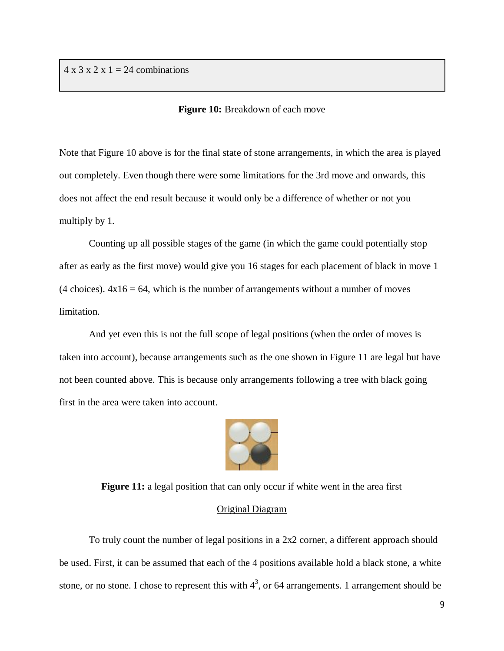$4 \times 3 \times 2 \times 1 = 24$  combinations

#### **Figure 10:** Breakdown of each move

Note that Figure 10 above is for the final state of stone arrangements, in which the area is played out completely. Even though there were some limitations for the 3rd move and onwards, this does not affect the end result because it would only be a difference of whether or not you multiply by 1.

Counting up all possible stages of the game (in which the game could potentially stop after as early as the first move) would give you 16 stages for each placement of black in move 1 (4 choices).  $4x16 = 64$ , which is the number of arrangements without a number of moves limitation.

And yet even this is not the full scope of legal positions (when the order of moves is taken into account), because arrangements such as the one shown in Figure 11 are legal but have not been counted above. This is because only arrangements following a tree with black going first in the area were taken into account.



**Figure 11:** a legal position that can only occur if white went in the area first

#### Original Diagram

To truly count the number of legal positions in a 2x2 corner, a different approach should be used. First, it can be assumed that each of the 4 positions available hold a black stone, a white stone, or no stone. I chose to represent this with  $4^3$ , or 64 arrangements. 1 arrangement should be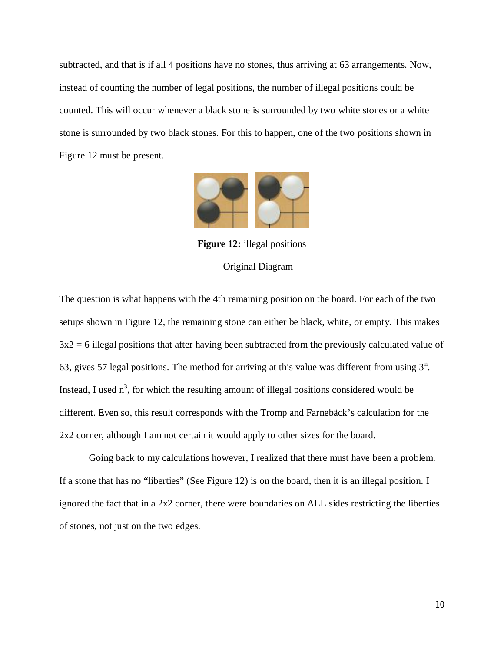subtracted, and that is if all 4 positions have no stones, thus arriving at 63 arrangements. Now, instead of counting the number of legal positions, the number of illegal positions could be counted. This will occur whenever a black stone is surrounded by two white stones or a white stone is surrounded by two black stones. For this to happen, one of the two positions shown in Figure 12 must be present.



**Figure 12:** illegal positions

# Original Diagram

The question is what happens with the 4th remaining position on the board. For each of the two setups shown in Figure 12, the remaining stone can either be black, white, or empty. This makes  $3x2 = 6$  illegal positions that after having been subtracted from the previously calculated value of 63, gives 57 legal positions. The method for arriving at this value was different from using  $3<sup>n</sup>$ . Instead, I used  $n^3$ , for which the resulting amount of illegal positions considered would be different. Even so, this result corresponds with the Tromp and Farnebäck's calculation for the 2x2 corner, although I am not certain it would apply to other sizes for the board.

Going back to my calculations however, I realized that there must have been a problem. If a stone that has no "liberties" (See Figure 12) is on the board, then it is an illegal position. I ignored the fact that in a 2x2 corner, there were boundaries on ALL sides restricting the liberties of stones, not just on the two edges.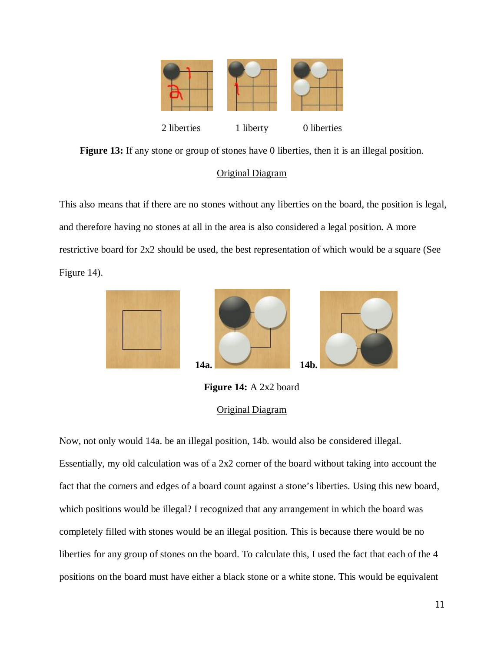

**Figure 13:** If any stone or group of stones have 0 liberties, then it is an illegal position.

# Original Diagram

This also means that if there are no stones without any liberties on the board, the position is legal, and therefore having no stones at all in the area is also considered a legal position. A more restrictive board for 2x2 should be used, the best representation of which would be a square (See Figure 14).



**Figure 14:** A 2x2 board Original Diagram

Now, not only would 14a. be an illegal position, 14b. would also be considered illegal. Essentially, my old calculation was of a 2x2 corner of the board without taking into account the fact that the corners and edges of a board count against a stone's liberties. Using this new board, which positions would be illegal? I recognized that any arrangement in which the board was completely filled with stones would be an illegal position. This is because there would be no liberties for any group of stones on the board. To calculate this, I used the fact that each of the 4 positions on the board must have either a black stone or a white stone. This would be equivalent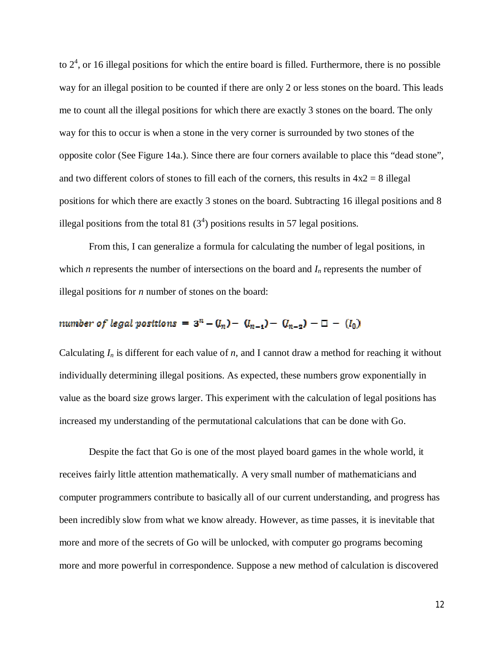to  $2<sup>4</sup>$ , or 16 illegal positions for which the entire board is filled. Furthermore, there is no possible way for an illegal position to be counted if there are only 2 or less stones on the board. This leads me to count all the illegal positions for which there are exactly 3 stones on the board. The only way for this to occur is when a stone in the very corner is surrounded by two stones of the opposite color (See Figure 14a.). Since there are four corners available to place this "dead stone", and two different colors of stones to fill each of the corners, this results in  $4x^2 = 8$  illegal positions for which there are exactly 3 stones on the board. Subtracting 16 illegal positions and 8 illegal positions from the total 81  $(3<sup>4</sup>)$  positions results in 57 legal positions.

From this, I can generalize a formula for calculating the number of legal positions, in which *n* represents the number of intersections on the board and  $I<sub>n</sub>$  represents the number of illegal positions for *n* number of stones on the board:

# number of legal positions =  $3^n - (l_n) - (l_{n-1}) - (l_{n-2}) - (l_0)$

Calculating  $I_n$  is different for each value of *n*, and I cannot draw a method for reaching it without individually determining illegal positions. As expected, these numbers grow exponentially in value as the board size grows larger. This experiment with the calculation of legal positions has increased my understanding of the permutational calculations that can be done with Go.

Despite the fact that Go is one of the most played board games in the whole world, it receives fairly little attention mathematically. A very small number of mathematicians and computer programmers contribute to basically all of our current understanding, and progress has been incredibly slow from what we know already. However, as time passes, it is inevitable that more and more of the secrets of Go will be unlocked, with computer go programs becoming more and more powerful in correspondence. Suppose a new method of calculation is discovered